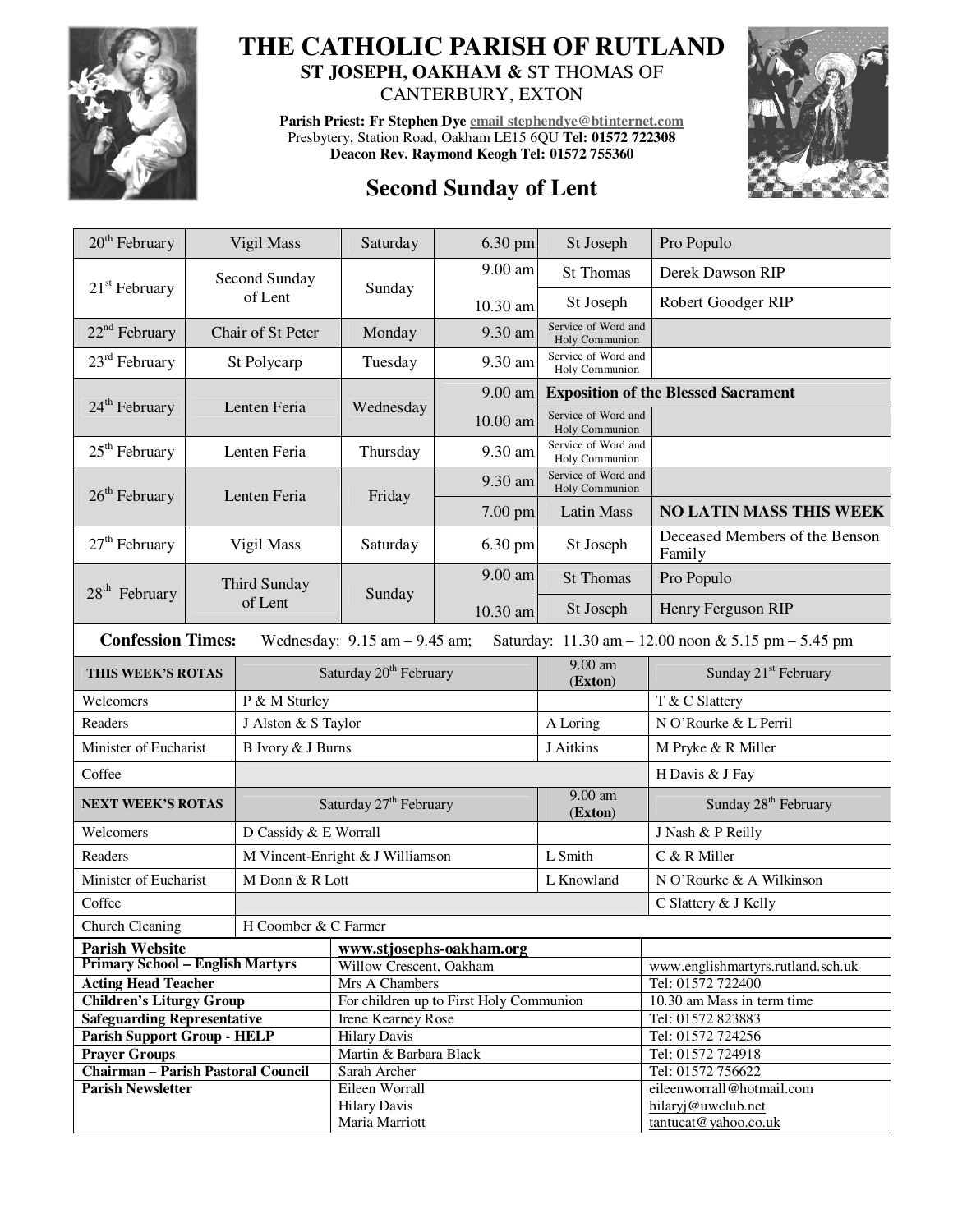

## **THE CATHOLIC PARISH OF RUTLAND ST JOSEPH, OAKHAM &** ST THOMAS OF

CANTERBURY, EXTON

**Parish Priest: Fr Stephen Dye email stephendye@btinternet.com** Presbytery, Station Road, Oakham LE15 6QU **Tel: 01572 722308 Deacon Rev. Raymond Keogh Tel: 01572 755360** 





| $20th$ February                                                                                                      | Vigil Mass        |                                    | Saturday                                | 6.30 pm  | St Joseph                                  | Pro Populo                                 |  |
|----------------------------------------------------------------------------------------------------------------------|-------------------|------------------------------------|-----------------------------------------|----------|--------------------------------------------|--------------------------------------------|--|
| $21st$ February                                                                                                      |                   | Second Sunday                      | Sunday                                  | 9.00 am  | <b>St Thomas</b>                           | Derek Dawson RIP                           |  |
|                                                                                                                      | of Lent           |                                    |                                         | 10.30 am | St Joseph                                  | Robert Goodger RIP                         |  |
| $22nd$ February                                                                                                      | Chair of St Peter |                                    | Monday                                  | 9.30 am  | Service of Word and<br>Holy Communion      |                                            |  |
| $23rd$ February                                                                                                      | St Polycarp       |                                    | Tuesday                                 | 9.30 am  | Service of Word and<br>Holy Communion      |                                            |  |
|                                                                                                                      |                   |                                    |                                         | 9.00 am  | <b>Exposition of the Blessed Sacrament</b> |                                            |  |
| 24 <sup>th</sup> February<br>Lenten Feria                                                                            |                   |                                    | Wednesday                               | 10.00 am | Service of Word and<br>Holy Communion      |                                            |  |
| $25th$ February                                                                                                      | Lenten Feria      |                                    | Thursday                                | 9.30 am  | Service of Word and<br>Holy Communion      |                                            |  |
| $26th$ February                                                                                                      |                   | Lenten Feria                       | Friday                                  | 9.30 am  | Service of Word and<br>Holy Communion      |                                            |  |
|                                                                                                                      |                   |                                    |                                         | 7.00 pm  | Latin Mass                                 | <b>NO LATIN MASS THIS WEEK</b>             |  |
| $27th$ February                                                                                                      | Vigil Mass        |                                    | Saturday                                | 6.30 pm  | St Joseph                                  | Deceased Members of the Benson<br>Family   |  |
| $28th$ February                                                                                                      | Third Sunday      |                                    | Sunday                                  | 9.00 am  | <b>St Thomas</b>                           | Pro Populo                                 |  |
|                                                                                                                      |                   | of Lent                            |                                         | 10.30 am | St Joseph                                  | Henry Ferguson RIP                         |  |
| <b>Confession Times:</b><br>Wednesday: $9.15$ am $- 9.45$ am;<br>Saturday: 11.30 am - 12.00 noon & 5.15 pm - 5.45 pm |                   |                                    |                                         |          |                                            |                                            |  |
| THIS WEEK'S ROTAS                                                                                                    |                   | Saturday 20 <sup>th</sup> February |                                         |          | $9.00$ am<br>(Exton)                       | Sunday 21 <sup>st</sup> February           |  |
| Welcomers                                                                                                            |                   | P & M Sturley                      |                                         |          |                                            | T & C Slattery                             |  |
| Readers                                                                                                              |                   | J Alston & S Taylor                |                                         |          | A Loring                                   | N O'Rourke & L Perril                      |  |
| Minister of Eucharist                                                                                                |                   | B Ivory & J Burns                  |                                         |          | J Aitkins                                  | M Pryke & R Miller                         |  |
| Coffee                                                                                                               |                   |                                    |                                         |          |                                            | H Davis & J Fay                            |  |
| <b>NEXT WEEK'S ROTAS</b>                                                                                             |                   | Saturday 27 <sup>th</sup> February |                                         |          | 9.00 am<br>(Exton)                         | Sunday 28 <sup>th</sup> February           |  |
| Welcomers                                                                                                            |                   | D Cassidy & E Worrall              |                                         |          |                                            | J Nash & P Reilly                          |  |
| Readers                                                                                                              |                   | M Vincent-Enright & J Williamson   |                                         |          | L Smith                                    | C & R Miller                               |  |
| Minister of Eucharist                                                                                                |                   | M Donn & R Lott                    |                                         |          | L Knowland                                 | N O'Rourke & A Wilkinson                   |  |
| Coffee                                                                                                               |                   |                                    |                                         |          |                                            | C Slattery & J Kelly                       |  |
| H Coomber & C Farmer<br>Church Cleaning                                                                              |                   |                                    |                                         |          |                                            |                                            |  |
| <b>Parish Website</b>                                                                                                |                   |                                    | www.stjosephs-oakham.org                |          |                                            |                                            |  |
| <b>Primary School - English Martyrs</b>                                                                              |                   |                                    | Willow Crescent, Oakham                 |          |                                            | www.englishmartyrs.rutland.sch.uk          |  |
| <b>Acting Head Teacher</b>                                                                                           |                   |                                    | Mrs A Chambers                          |          |                                            | Tel: 01572 722400                          |  |
| <b>Children's Liturgy Group</b>                                                                                      |                   |                                    | For children up to First Holy Communion |          |                                            | 10.30 am Mass in term time                 |  |
| <b>Safeguarding Representative</b>                                                                                   |                   |                                    | Irene Kearney Rose                      |          |                                            | Tel: 01572 823883                          |  |
| <b>Parish Support Group - HELP</b>                                                                                   |                   |                                    | <b>Hilary Davis</b>                     |          |                                            | Tel: 01572 724256                          |  |
| <b>Prayer Groups</b>                                                                                                 |                   |                                    | Martin & Barbara Black                  |          |                                            | Tel: 01572 724918                          |  |
| <b>Chairman - Parish Pastoral Council</b>                                                                            |                   |                                    | Sarah Archer                            |          |                                            | Tel: 01572 756622                          |  |
| <b>Parish Newsletter</b>                                                                                             |                   |                                    | Eileen Worrall                          |          |                                            | eileenworrall@hotmail.com                  |  |
|                                                                                                                      |                   |                                    | <b>Hilary Davis</b><br>Maria Marriott   |          |                                            | hilaryj@uwclub.net<br>tantucat@yahoo.co.uk |  |
|                                                                                                                      |                   |                                    |                                         |          |                                            |                                            |  |